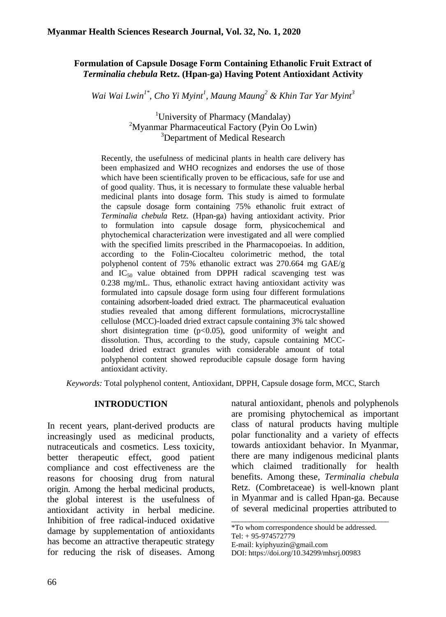## **Formulation of Capsule Dosage Form Containing Ethanolic Fruit Extract of**  *Terminalia chebula* **Retz. (Hpan-ga) Having Potent Antioxidant Activity**

*Wai Wai Lwin1\* , Cho Yi Myint<sup>1</sup> , Maung Maung<sup>2</sup> & Khin Tar Yar Myint<sup>3</sup>*

<sup>1</sup>University of Pharmacy (Mandalay)  $2^2$ Myanmar Pharmaceutical Factory (Pyin Oo Lwin) <sup>3</sup>Department of Medical Research

Recently, the usefulness of medicinal plants in health care delivery has been emphasized and WHO recognizes and endorses the use of those which have been scientifically proven to be efficacious, safe for use and of good quality. Thus, it is necessary to formulate these valuable herbal medicinal plants into dosage form. This study is aimed to formulate the capsule dosage form containing 75% ethanolic fruit extract of *Terminalia chebula* Retz. (Hpan-ga) having antioxidant activity. Prior to formulation into capsule dosage form, physicochemical and phytochemical characterization were investigated and all were complied with the specified limits prescribed in the Pharmacopoeias. In addition, according to the Folin-Ciocalteu colorimetric method, the total polyphenol content of 75% ethanolic extract was 270.664 mg GAE/g and  $IC_{50}$  value obtained from DPPH radical scavenging test was 0.238 mg/mL. Thus, ethanolic extract having antioxidant activity was formulated into capsule dosage form using four different formulations containing adsorbent-loaded dried extract. The pharmaceutical evaluation studies revealed that among different formulations, microcrystalline cellulose (MCC)-loaded dried extract capsule containing 3% talc showed short disintegration time  $(p<0.05)$ , good uniformity of weight and dissolution. Thus, according to the study, capsule containing MCCloaded dried extract granules with considerable amount of total polyphenol content showed reproducible capsule dosage form having antioxidant activity.

*Keywords:* Total polyphenol content, Antioxidant, DPPH, Capsule dosage form, MCC, Starch

### **INTRODUCTION**

In recent years, plant-derived products are increasingly used as medicinal products, nutraceuticals and cosmetics. Less toxicity, better therapeutic effect, good patient compliance and cost effectiveness are the reasons for choosing drug from natural origin. Among the herbal medicinal products, the global interest is the usefulness of antioxidant activity in herbal medicine. Inhibition of free radical-induced oxidative damage by supplementation of antioxidants has become an attractive therapeutic strategy for reducing the risk of diseases. Among

natural antioxidant, phenols and polyphenols are promising phytochemical as important class of natural products having multiple polar functionality and a variety of effects towards antioxidant behavior. In Myanmar, there are many indigenous medicinal plants which claimed traditionally for health benefits. Among these, *Terminalia chebula*  Retz. (Combretaceae) is well-known plant in Myanmar and is called Hpan-ga. Because of several medicinal properties attributed to

\_\_\_\_\_\_\_\_\_\_\_\_\_\_\_\_\_\_\_\_\_\_\_\_\_\_\_\_\_\_\_\_\_\_\_\_\_\_\_\_\_\_\_\_ \*To whom correspondence should be addressed.

Tel: + 95-974572779

E-mail: [kyiphyuzin@gmail.com](mailto:kyiphyuzin@gmail.com)

DOI: [https://doi.org/10.34299/mhsrj.0098](https://doi.org/10.34299/mhsrj.009)3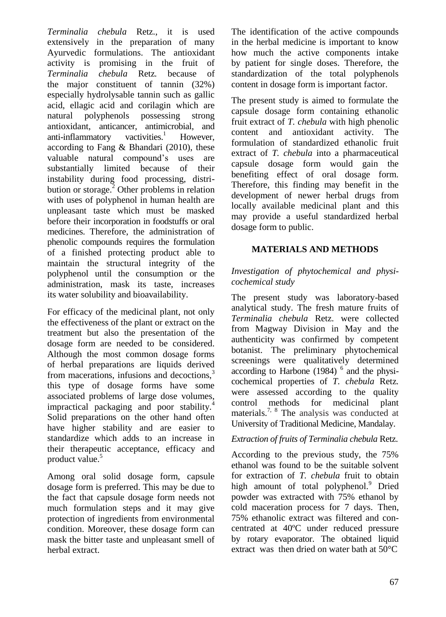*Terminalia chebula* Retz., it is used extensively in the preparation of many Ayurvedic formulations. The antioxidant activity is promising in the fruit of *Terminalia chebula* Retz*.* because of the major constituent of tannin (32%) especially hydrolysable tannin such as gallic acid, ellagic acid and corilagin which are natural polyphenols possessing strong antioxidant, anticancer, antimicrobial, and  $anti-inflammatory$  vactivities.<sup>1</sup> However, according to Fang & Bhandari (2010), these valuable natural compound's uses are substantially limited because of their instability during food processing, distribution or storage.<sup>2</sup> Other problems in relation with uses of polyphenol in human health are unpleasant taste which must be masked before their incorporation in foodstuffs or oral medicines. Therefore, the administration of phenolic compounds requires the formulation of a finished protecting product able to maintain the structural integrity of the polyphenol until the consumption or the administration, mask its taste, increases its water solubility and bioavailability.

For efficacy of the medicinal plant, not only the effectiveness of the plant or extract on the treatment but also the presentation of the dosage form are needed to be considered. Although the most common dosage forms of herbal preparations are liquids derived from macerations, infusions and decoctions,<sup>3</sup> this type of dosage forms have some associated problems of large dose volumes, impractical packaging and poor stability.<sup>4</sup> Solid preparations on the other hand often have higher stability and are easier to standardize which adds to an increase in their therapeutic acceptance, efficacy and product value.<sup>5</sup>

Among oral solid dosage form, capsule dosage form is preferred. This may be due to the fact that capsule dosage form needs not much formulation steps and it may give protection of ingredients from environmental condition. Moreover, these dosage form can mask the bitter taste and unpleasant smell of herbal extract.

The identification of the active compounds in the herbal medicine is important to know how much the active components intake by patient for single doses. Therefore, the standardization of the total polyphenols content in dosage form is important factor.

The present study is aimed to formulate the capsule dosage form containing ethanolic fruit extract of *T. chebula* with high phenolic content and antioxidant activity. The formulation of standardized ethanolic fruit extract of *T. chebula* into a pharmaceutical capsule dosage form would gain the benefiting effect of oral dosage form. Therefore, this finding may benefit in the development of newer herbal drugs from locally available medicinal plant and this may provide a useful standardized herbal dosage form to public.

## **MATERIALS AND METHODS**

### *Investigation of phytochemical and physicochemical study*

The present study was laboratory-based analytical study. The fresh mature fruits of *Terminalia chebula* Retz. were collected from Magway Division in May and the authenticity was confirmed by competent botanist. The preliminary phytochemical screenings were qualitatively determined according to Harbone  $(1984)$ <sup>6</sup> and the physicochemical properties of *T. chebula* Retz*.* were assessed according to the quality control methods for medicinal plant materials.<sup>7, 8</sup> The analysis was conducted at University of Traditional Medicine, Mandalay.

### *Extraction of fruits of Terminalia chebula* Retz.

According to the previous study, the 75% ethanol was found to be the suitable solvent for extraction of *T. chebula* fruit to obtain high amount of total polyphenol.<sup>9</sup> Dried powder was extracted with 75% ethanol by cold maceration process for 7 days. Then, 75% ethanolic extract was filtered and concentrated at 40ºC under reduced pressure by rotary evaporator. The obtained liquid extract was then dried on water bath at 50°C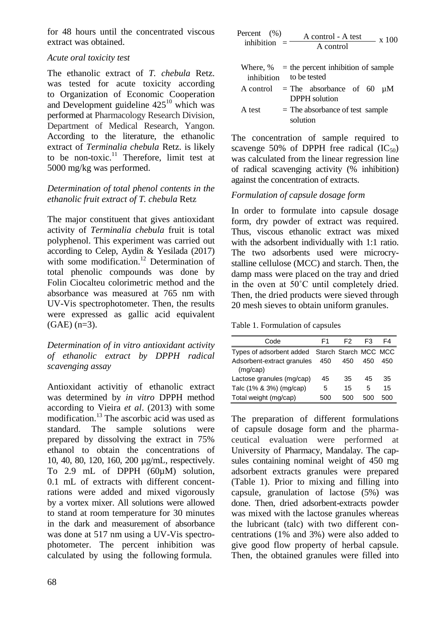for 48 hours until the concentrated viscous extract was obtained.

## *Acute oral toxicity test*

The ethanolic extract of *T. chebula* Retz. was tested for acute toxicity according to Organization of Economic Cooperation and Development guideline  $425^{10}$  which was performed at Pharmacology Research Division, Department of Medical Research, Yangon. According to the literature, the ethanolic extract of *Terminalia chebula* Retz. is likely to be non-toxic.<sup>11</sup> Therefore, limit test at 5000 mg/kg was performed.

# *Determination of total phenol contents in the ethanolic fruit extract of T. chebula* Retz

The major constituent that gives antioxidant activity of *Terminalia chebula* fruit is total polyphenol. This experiment was carried out according to Celep, Aydin & Yesilada (2017) with some modification.<sup>12</sup> Determination of total phenolic compounds was done by Folin Ciocalteu colorimetric method and the absorbance was measured at 765 nm with UV-Vis spectrophotometer. Then, the results were expressed as gallic acid equivalent  $(GAE)$  (n=3).

*Determination of in vitro antioxidant activity of ethanolic extract by DPPH radical scavenging assay*

Antioxidant activitiy of ethanolic extract was determined by *in vitro* DPPH method according to Vieira *et al*. (2013) with some modification.<sup>13</sup> The ascorbic acid was used as standard. The sample solutions were prepared by dissolving the extract in 75% ethanol to obtain the concentrations of 10, 40, 80, 120, 160, 200 µg/mL, respectively. To 2.9 mL of DPPH (60µM) solution, 0.1 mL of extracts with different concentrations were added and mixed vigorously by a vortex mixer. All solutions were allowed to stand at room temperature for 30 minutes in the dark and measurement of absorbance was done at 517 nm using a UV-Vis spectrophotometer. The percent inhibition was calculated by using the following formula.

| Percent (%)       | A control - A test | x 100 |
|-------------------|--------------------|-------|
| inhibition<br>$=$ | A control          |       |

| inhibition to be tested |          | Where, $%$ = the percent inhibition of sample             |  |  |
|-------------------------|----------|-----------------------------------------------------------|--|--|
|                         |          | A control = The absorbance of 60 $\mu$ M<br>DPPH solution |  |  |
| A test                  | solution | $=$ The absorbance of test sample                         |  |  |

The concentration of sample required to scavenge 50% of DPPH free radical  $(IC_{50})$ was calculated from the linear regression line of radical scavenging activity (% inhibition) against the concentration of extracts.

# *Formulation of capsule dosage form*

In order to formulate into capsule dosage form, dry powder of extract was required. Thus, viscous ethanolic extract was mixed with the adsorbent individually with 1:1 ratio. The two adsorbents used were microcrystalline cellulose (MCC) and starch. Then, the damp mass were placed on the tray and dried in the oven at 50˚C until completely dried. Then, the dried products were sieved through 20 mesh sieves to obtain uniform granules.

Table 1. Formulation of capsules

| Code                                           | F1  | F2  | F3  | F4  |
|------------------------------------------------|-----|-----|-----|-----|
| Types of adsorbent added Starch Starch MCC MCC |     |     |     |     |
| Adsorbent-extract granules<br>(mq/cap)         | 450 | 450 | 450 | 450 |
| Lactose granules (mg/cap)                      | 45  | 35  | 45  | 35  |
| Talc (1% & 3%) (mg/cap)                        | 5   | 15  | 5   | 15  |
| Total weight (mg/cap)                          | 500 | 500 | 500 | 500 |

The preparation of different formulations of capsule dosage form and the pharmaceutical evaluation were performed at University of Pharmacy, Mandalay. The capsules containing nominal weight of 450 mg adsorbent extracts granules were prepared (Table 1). Prior to mixing and filling into capsule, granulation of lactose (5%) was done. Then, dried adsorbent-extracts powder was mixed with the lactose granules whereas the lubricant (talc) with two different concentrations (1% and 3%) were also added to give good flow property of herbal capsule. Then, the obtained granules were filled into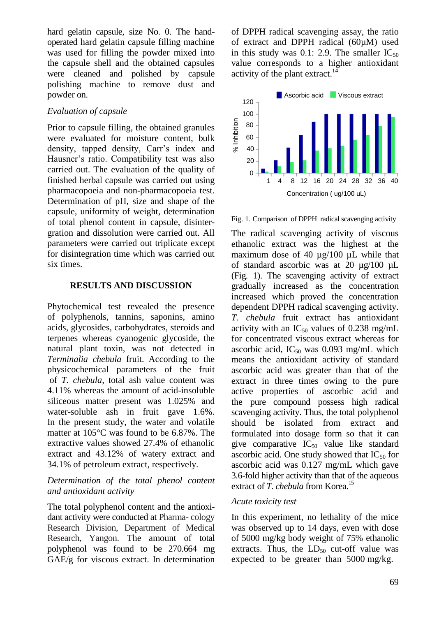hard gelatin capsule, size No. 0. The handoperated hard gelatin capsule filling machine was used for filling the powder mixed into the capsule shell and the obtained capsules were cleaned and polished by capsule polishing machine to remove dust and powder on.

## *Evaluation of capsule*

Prior to capsule filling, the obtained granules were evaluated for moisture content, bulk density, tapped density, Carr's index and Hausner's ratio. Compatibility test was also carried out. The evaluation of the quality of finished herbal capsule was carried out using pharmacopoeia and non-pharmacopoeia test. Determination of pH, size and shape of the capsule, uniformity of weight, determination of total phenol content in capsule, disintergration and dissolution were carried out. All parameters were carried out triplicate except for disintegration time which was carried out six times.

#### **RESULTS AND DISCUSSION**

Phytochemical test revealed the presence of polyphenols, tannins, saponins, amino acids, glycosides, carbohydrates, steroids and terpenes whereas cyanogenic glycoside, the natural plant toxin, was not detected in *Terminalia chebula* fruit. According to the physicochemical parameters of the fruit of *T. chebula*, total ash value content was 4.11% whereas the amount of acid-insoluble siliceous matter present was 1.025% and water-soluble ash in fruit gave 1.6%. In the present study, the water and volatile matter at 105°C was found to be 6.87%. The extractive values showed 27.4% of ethanolic extract and 43.12% of watery extract and 34.1% of petroleum extract, respectively.

#### *Determination of the total phenol content and antioxidant activity*

The total polyphenol content and the antioxidant activity were conducted at Pharma- cology Research Division, Department of Medical Research, Yangon. The amount of total polyphenol was found to be 270.664 mg GAE/g for viscous extract. In determination of DPPH radical scavenging assay, the ratio of extract and DPPH radical (60µM) used in this study was 0.1: 2.9. The smaller  $IC_{50}$ value corresponds to a higher antioxidant activity of the plant extract.<sup>14</sup>



Fig. 1. Comparison of DPPH radical scavenging activity

The radical scavenging activity of viscous ethanolic extract was the highest at the maximum dose of 40 µg/100 µL while that of standard ascorbic was at 20 µg/100 µL (Fig. 1). The scavenging activity of extract gradually increased as the concentration increased which proved the concentration dependent DPPH radical scavenging activity. *T. chebula* fruit extract has antioxidant activity with an  $IC_{50}$  values of 0.238 mg/mL for concentrated viscous extract whereas for ascorbic acid,  $IC_{50}$  was 0.093 mg/mL which means the antioxidant activity of standard ascorbic acid was greater than that of the extract in three times owing to the pure active properties of ascorbic acid and the pure compound possess high radical scavenging activity. Thus, the total polyphenol should be isolated from extract and formulated into dosage form so that it can give comparative  $IC_{50}$  value like standard ascorbic acid. One study showed that  $IC_{50}$  for ascorbic acid was 0.127 mg/mL which gave 3.6-fold higher activity than that of the aqueous extract of *T. chebula* from Korea.<sup>15</sup>

### *Acute toxicity test*

In this experiment, no lethality of the mice was observed up to 14 days, even with dose of 5000 mg/kg body weight of 75% ethanolic extracts. Thus, the  $LD_{50}$  cut-off value was expected to be greater than 5000 mg/kg.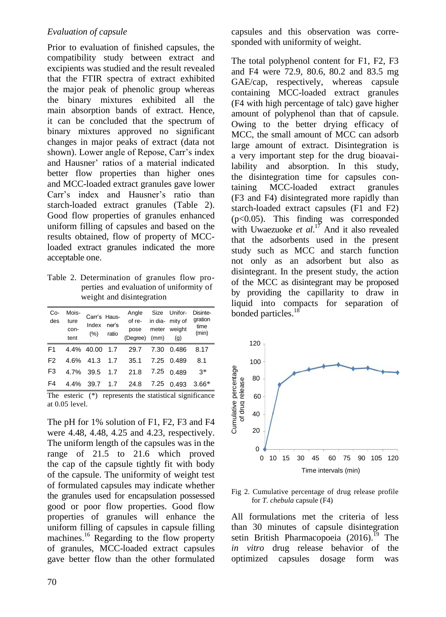### *Evaluation of capsule*

Prior to evaluation of finished capsules, the compatibility study between extract and excipients was studied and the result revealed that the FTIR spectra of extract exhibited the major peak of phenolic group whereas the binary mixtures exhibited all the main absorption bands of extract. Hence, it can be concluded that the spectrum of binary mixtures approved no significant changes in major peaks of extract (data not shown). Lower angle of Repose, Carr's index and Hausner' ratios of a material indicated better flow properties than higher ones and MCC-loaded extract granules gave lower Carr's index and Hausner's ratio than starch-loaded extract granules (Table 2). Good flow properties of granules enhanced uniform filling of capsules and based on the results obtained, flow of property of MCCloaded extract granules indicated the more acceptable one.

Table 2. Determination of granules flow properties and evaluation of uniformity of weight and disintegration

| Co-<br>des     | Mois-<br>ture<br>con-<br>tent | Carr's Haus-<br>Index ner's<br>$(\%)$ ratio |     | of re-<br>$(Degree)$ (mm) $(g)$ |      | Angle Size Unifor-<br>in dia- mity of<br>pose meter weight | Disinte-<br>gration<br>time<br>(min) |
|----------------|-------------------------------|---------------------------------------------|-----|---------------------------------|------|------------------------------------------------------------|--------------------------------------|
| F <sub>1</sub> |                               | 4.4% 40.00                                  | 1.7 | 29.7                            | 7.30 | 0.486                                                      | 8.17                                 |
| F <sub>2</sub> |                               |                                             |     | 4.6% 41.3 1.7 35.1              |      | 7.25 0.489                                                 | 8.1                                  |
| F <sub>3</sub> |                               |                                             |     | 4.7% 39.5 1.7 21.8              |      | 7.25 0.489                                                 | $3*$                                 |
| F <sub>4</sub> | $4.4\%$                       | 39.7                                        |     | 1.7 24.8 7.25                   |      | 0.493                                                      | $3.66*$                              |

The esteric (\*) represents the statistical significance at 0.05 level.

The pH for 1% solution of F1, F2, F3 and F4 were 4.48, 4.48, 4.25 and 4.23, respectively. The uniform length of the capsules was in the range of 21.5 to 21.6 which proved the cap of the capsule tightly fit with body of the capsule. The uniformity of weight test of formulated capsules may indicate whether the granules used for encapsulation possessed good or poor flow properties. Good flow properties of granules will enhance the uniform filling of capsules in capsule filling machines.<sup>16</sup> Regarding to the flow property of granules, MCC-loaded extract capsules gave better flow than the other formulated

capsules and this observation was corresponded with uniformity of weight.

The total polyphenol content for F1, F2, F3 and F4 were 72.9, 80.6, 80.2 and 83.5 mg GAE/cap, respectively, whereas capsule containing MCC-loaded extract granules (F4 with high percentage of talc) gave higher amount of polyphenol than that of capsule. Owing to the better drying efficacy of MCC, the small amount of MCC can adsorb large amount of extract. Disintegration is a very important step for the drug bioavailability and absorption. In this study, the disintegration time for capsules containing MCC-loaded extract granules (F3 and F4) disintegrated more rapidly than starch-loaded extract capsules (F1 and F2) (p<0.05). This finding was corresponded with Uwaezuoke *et al*. <sup>17</sup> And it also revealed that the adsorbents used in the present study such as MCC and starch function not only as an adsorbent but also as disintegrant. In the present study, the action of the MCC as disintegrant may be proposed by providing the capillarity to draw in liquid into compacts for separation of bonded particles.<sup>18</sup>



Fig 2. Cumulative percentage of drug release profile for *T. chebula* capsule (F4)

All formulations met the criteria of less than 30 minutes of capsule disintegration setin British Pharmacopoeia  $(2016)$ .<sup>19</sup> The *in vitro* drug release behavior of the optimized capsules dosage form was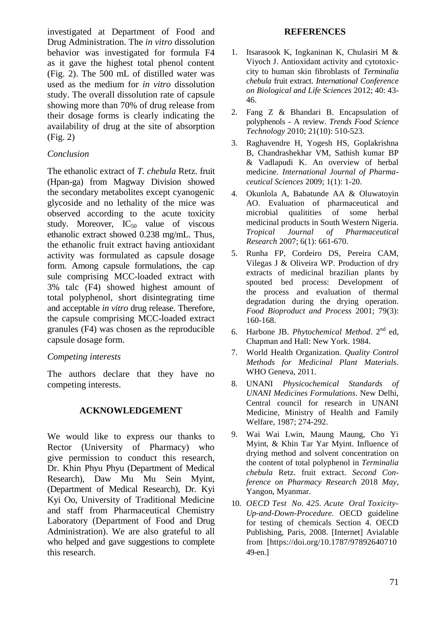investigated at Department of Food and Drug Administration. The *in vitro* dissolution behavior was investigated for formula F4 as it gave the highest total phenol content (Fig. 2). The 500 mL of distilled water was used as the medium for *in vitro* dissolution study. The overall dissolution rate of capsule showing more than 70% of drug release from their dosage forms is clearly indicating the availability of drug at the site of absorption (Fig. 2)

## *Conclusion*

The ethanolic extract of *T. chebula* Retz. fruit (Hpan-ga) from Magway Division showed the secondary metabolites except cyanogenic glycoside and no lethality of the mice was observed according to the acute toxicity study. Moreover,  $IC_{50}$  value of viscous ethanolic extract showed 0.238 mg/mL. Thus, the ethanolic fruit extract having antioxidant activity was formulated as capsule dosage form. Among capsule formulations, the cap sule comprising MCC-loaded extract with 3% talc (F4) showed highest amount of total polyphenol, short disintegrating time and acceptable *in vitro* drug release. Therefore, the capsule comprising MCC-loaded extract granules (F4) was chosen as the reproducible capsule dosage form.

### *Competing interests*

The authors declare that they have no competing interests.

## **ACKNOWLEDGEMENT**

We would like to express our thanks to Rector (University of Pharmacy) who give permission to conduct this research, Dr. Khin Phyu Phyu (Department of Medical Research), Daw Mu Mu Sein Myint, (Department of Medical Research), Dr. Kyi Kyi Oo, University of Traditional Medicine and staff from Pharmaceutical Chemistry Laboratory (Department of Food and Drug Administration). We are also grateful to all who helped and gave suggestions to complete this research.

#### **REFERENCES**

- 1. Itsarasook K, Ingkaninan K, Chulasiri M & Viyoch J. Antioxidant activity and cytotoxiccity to human skin fibroblasts of *Terminalia chebula* fruit extract. *International Conference on Biological and Life Sciences* 2012; 40: 43- 46.
- 2. Fang Z & Bhandari B. Encapsulation of polyphenols - A review. *Trends Food Science Technology* 2010; 21(10): 510-523.
- 3. Raghavendre H, Yogesh HS, Goplakrishna B, Chandrashekhar VM, Sathish kumar BP & Vadlapudi K. An overview of herbal medicine. *International Journal of Pharmaceutical Sciences* 2009; 1(1): 1-20.
- 4. Okunlola A, Babatunde AA & Oluwatoyin AO. Evaluation of pharmaceutical and microbial qualitities of some herbal medicinal products in South Western Nigeria. *Tropical Journal of Pharmaceutical Research* 2007; 6(1): 661-670.
- 5. Runha FP, Cordeiro DS, Pereira CAM, Vilegas J & Oliveira WP. Production of dry extracts of medicinal brazilian plants by spouted bed process: Development of the process and evaluation of thermal degradation during the drying operation. *Food Bioproduct and Process* 2001; 79(3): 160-168.
- 6. Harbone JB. *Phytochemical Method*. 2nd ed, Chapman and Hall: New York. 1984.
- 7. World Health Organization. *Quality Control Methods for Medicinal Plant Materials.* WHO Geneva, 2011.
- 8. UNANI *Physicochemical Standards of UNANI Medicines Formulations.* New Delhi, Central council for research in UNANI Medicine, Ministry of Health and Family Welfare, 1987; 274-292.
- 9. Wai Wai Lwin, Maung Maung, Cho Yi Myint, & Khin Tar Yar Myint. Influence of drying method and solvent concentration on the content of total polyphenol in *Terminalia chebula* Retz. fruit extract. *Second Conference on Pharmacy Research* 2018 *May,* Yangon, Myanmar.
- 10. *OECD Test No. 425. Acute Oral Toxicity-Up-and-Down-Procedure.* OECD guideline for testing of chemicals Section 4. OECD Publishing, Paris, 2008. [Internet] Avialable from [https://doi.org/10.1787/97892640710 49-en.]